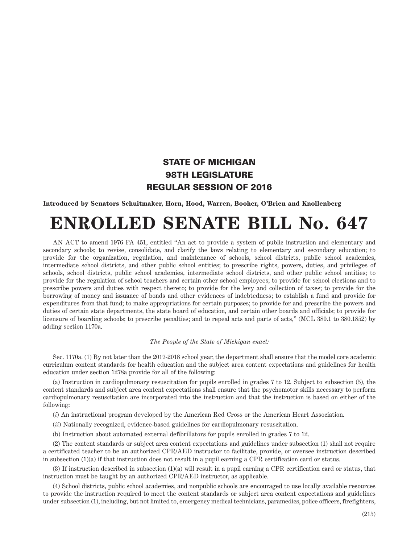## STATE OF MICHIGAN 98TH LEGISLATURE REGULAR SESSION OF 2016

**Introduced by Senators Schuitmaker, Horn, Hood, Warren, Booher, O'Brien and Knollenberg**

## **ENROLLED SENATE BILL No. 647**

AN ACT to amend 1976 PA 451, entitled "An act to provide a system of public instruction and elementary and secondary schools; to revise, consolidate, and clarify the laws relating to elementary and secondary education; to provide for the organization, regulation, and maintenance of schools, school districts, public school academies, intermediate school districts, and other public school entities; to prescribe rights, powers, duties, and privileges of schools, school districts, public school academies, intermediate school districts, and other public school entities; to provide for the regulation of school teachers and certain other school employees; to provide for school elections and to prescribe powers and duties with respect thereto; to provide for the levy and collection of taxes; to provide for the borrowing of money and issuance of bonds and other evidences of indebtedness; to establish a fund and provide for expenditures from that fund; to make appropriations for certain purposes; to provide for and prescribe the powers and duties of certain state departments, the state board of education, and certain other boards and officials; to provide for licensure of boarding schools; to prescribe penalties; and to repeal acts and parts of acts," (MCL 380.1 to 380.1852) by adding section 1170a.

## *The People of the State of Michigan enact:*

Sec. 1170a. (1) By not later than the 2017-2018 school year, the department shall ensure that the model core academic curriculum content standards for health education and the subject area content expectations and guidelines for health education under section 1278a provide for all of the following:

(a) Instruction in cardiopulmonary resuscitation for pupils enrolled in grades 7 to 12. Subject to subsection (5), the content standards and subject area content expectations shall ensure that the psychomotor skills necessary to perform cardiopulmonary resuscitation are incorporated into the instruction and that the instruction is based on either of the following:

(*i*) An instructional program developed by the American Red Cross or the American Heart Association.

- (*ii*) Nationally recognized, evidence-based guidelines for cardiopulmonary resuscitation.
- (b) Instruction about automated external defibrillators for pupils enrolled in grades 7 to 12.

(2) The content standards or subject area content expectations and guidelines under subsection (1) shall not require a certificated teacher to be an authorized CPR/AED instructor to facilitate, provide, or oversee instruction described in subsection (1)(a) if that instruction does not result in a pupil earning a CPR certification card or status.

(3) If instruction described in subsection (1)(a) will result in a pupil earning a CPR certification card or status, that instruction must be taught by an authorized CPR/AED instructor, as applicable.

(4) School districts, public school academies, and nonpublic schools are encouraged to use locally available resources to provide the instruction required to meet the content standards or subject area content expectations and guidelines under subsection (1), including, but not limited to, emergency medical technicians, paramedics, police officers, firefighters,